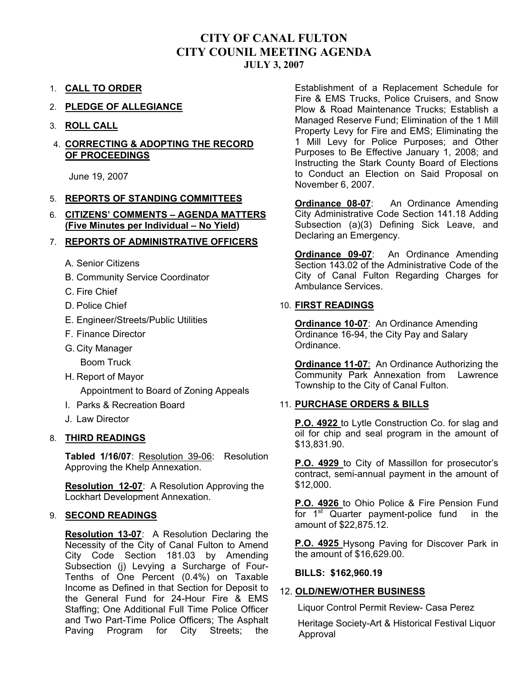## **CITY OF CANAL FULTON CITY COUNIL MEETING AGENDA JULY 3, 2007**

- 1. **CALL TO ORDER**
- 2. **PLEDGE OF ALLEGIANCE**
- 3. **ROLL CALL**

#### 4. **CORRECTING & ADOPTING THE RECORD OF PROCEEDINGS**

June 19, 2007

#### 5. **REPORTS OF STANDING COMMITTEES**

6. **CITIZENS' COMMENTS – AGENDA MATTERS (Five Minutes per Individual – No Yield)**

#### 7. **REPORTS OF ADMINISTRATIVE OFFICERS**

- A. Senior Citizens
- B. Community Service Coordinator
- C. Fire Chief
- D. Police Chief
- E. Engineer/Streets/Public Utilities
- F. Finance Director
- G. City Manager
	- Boom Truck
- H. Report of Mayor

Appointment to Board of Zoning Appeals

- I. Parks & Recreation Board
- J. Law Director

#### 8. **THIRD READINGS**

**Tabled 1/16/07**: Resolution 39-06: Resolution Approving the Khelp Annexation.

**Resolution 12-07**: A Resolution Approving the Lockhart Development Annexation.

#### 9. **SECOND READINGS**

**Resolution 13-07**: A Resolution Declaring the Necessity of the City of Canal Fulton to Amend City Code Section 181.03 by Amending Subsection (j) Levying a Surcharge of Four-Tenths of One Percent (0.4%) on Taxable Income as Defined in that Section for Deposit to the General Fund for 24-Hour Fire & EMS Staffing; One Additional Full Time Police Officer and Two Part-Time Police Officers; The Asphalt Paving Program for City Streets; the

Establishment of a Replacement Schedule for Fire & EMS Trucks, Police Cruisers, and Snow Plow & Road Maintenance Trucks; Establish a Managed Reserve Fund; Elimination of the 1 Mill Property Levy for Fire and EMS; Eliminating the 1 Mill Levy for Police Purposes; and Other Purposes to Be Effective January 1, 2008; and Instructing the Stark County Board of Elections to Conduct an Election on Said Proposal on November 6, 2007.

**Ordinance 08-07**: An Ordinance Amending City Administrative Code Section 141.18 Adding Subsection (a)(3) Defining Sick Leave, and Declaring an Emergency.

**Ordinance 09-07**: An Ordinance Amending Section 143.02 of the Administrative Code of the City of Canal Fulton Regarding Charges for Ambulance Services.

#### 10. **FIRST READINGS**

**Ordinance 10-07**: An Ordinance Amending Ordinance 16-94, the City Pay and Salary Ordinance.

**Ordinance 11-07**: An Ordinance Authorizing the Community Park Annexation from Lawrence Township to the City of Canal Fulton.

#### 11. **PURCHASE ORDERS & BILLS**

**P.O. 4922** to Lytle Construction Co. for slag and oil for chip and seal program in the amount of \$13,831.90.

**P.O. 4929** to City of Massillon for prosecutor's contract, semi-annual payment in the amount of \$12,000.

**P.O. 4926** to Ohio Police & Fire Pension Fund for  $1<sup>st</sup>$  Quarter payment-police fund in the amount of \$22,875.12.

**P.O. 4925** Hysong Paving for Discover Park in the amount of \$16,629.00.

#### **BILLS: \$162,960.19**

#### 12. **OLD/NEW/OTHER BUSINESS**

Liquor Control Permit Review- Casa Perez

 Heritage Society-Art & Historical Festival Liquor Approval